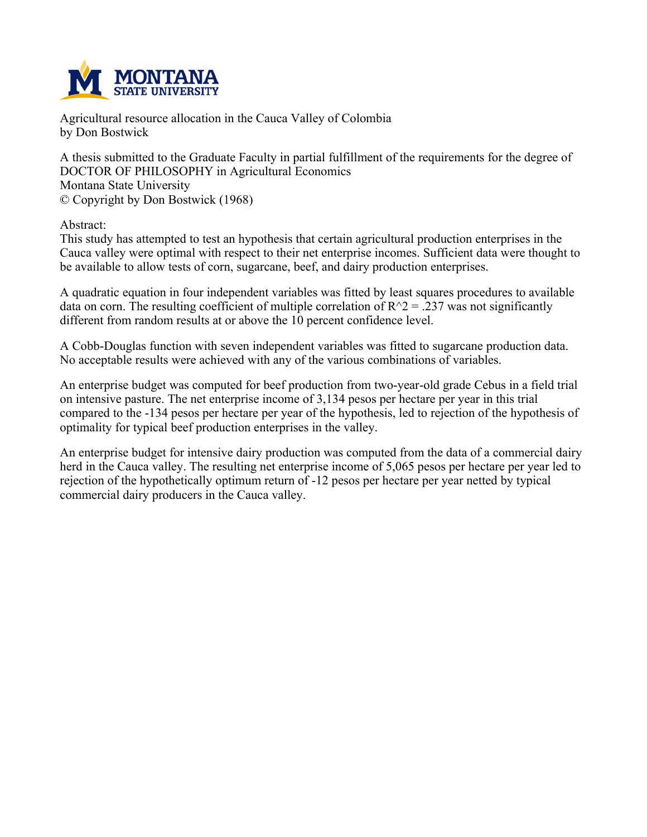

**Agricultural resource allocation in the Cauca Valley of Colombia by Don Bostwick**

**A thesis submitted to the Graduate Faculty in partial fulfillment of the requirements for the degree of DOCTOR OF PHILOSOPHY in Agricultural Economics Montana State University © Copyright by Don Bostwick (1968)**

**Abstract:**

**This study has attempted to test an hypothesis that certain agricultural production enterprises in the Cauca valley were optimal with respect to their net enterprise incomes. Sufficient data were thought to be available to allow tests of corn, sugarcane, beef, and dairy production enterprises.**

**A quadratic equation in four independent variables was fitted by least squares procedures to available data** on corn. The resulting coefficient of multiple correlation of  $R^2 = 0.237$  was not significantly **different from random results at or above the 10 percent confidence level.**

**A Cobb-Douglas function with seven independent variables was fitted to sugarcane production data. No acceptable results were achieved with any of the various combinations of variables.**

**An enterprise budget was computed for beef production from two-year-old grade Cebus in a field trial on intensive pasture. The net enterprise income of 3,134 pesos per hectare per year in this trial** compared to the -134 pesos per hectare per year of the hypothesis, led to rejection of the hypothesis of **optimality for typical beef production enterprises in the valley.**

**An enterprise budget for intensive dairy production was computed from the data of a commercial dairy** herd in the Cauca valley. The resulting net enterprise income of 5,065 pesos per hectare per year led to **rejection of the hypothetically optimum return of -12 pesos per hectare per year netted by typical commercial dairy producers in the Cauca valley.**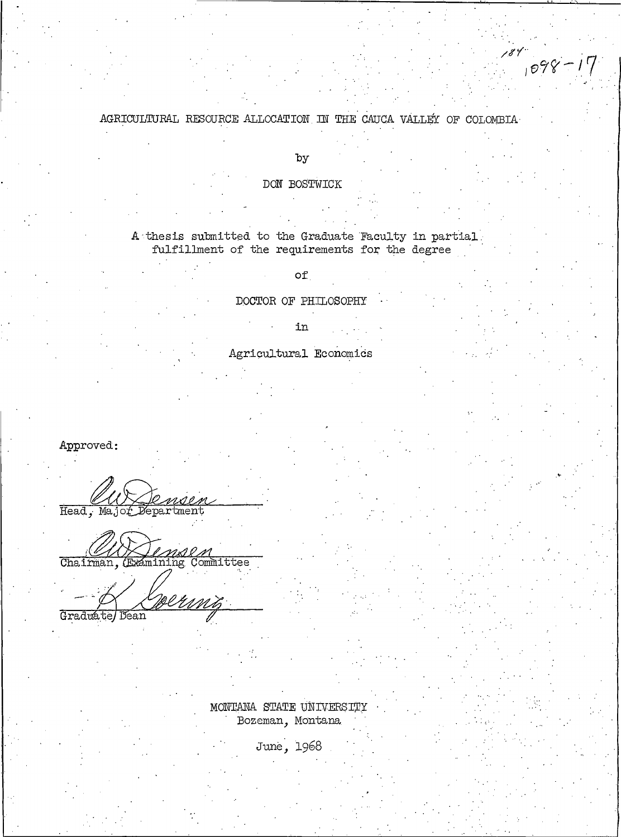$\int_{1098}$  - 17

## AGRICULTURAL RESOURCE ALLOCATION IN THE CAUCA VALLEY OF COLOMBIA

by

### DON BOSTWICK

A thesis submitted to the Graduate Faculty in partial fulfillment of the requirements for the degree

оf

DOCTOR OF PHILOSOPHY

in

Agricultural Economics

Approved:

Head, Major Department

Committee Chairman, ≤mini ng

Graduate/Dean

MONTANA STATE UNIVERSITY Bozeman, Montana

June, 1968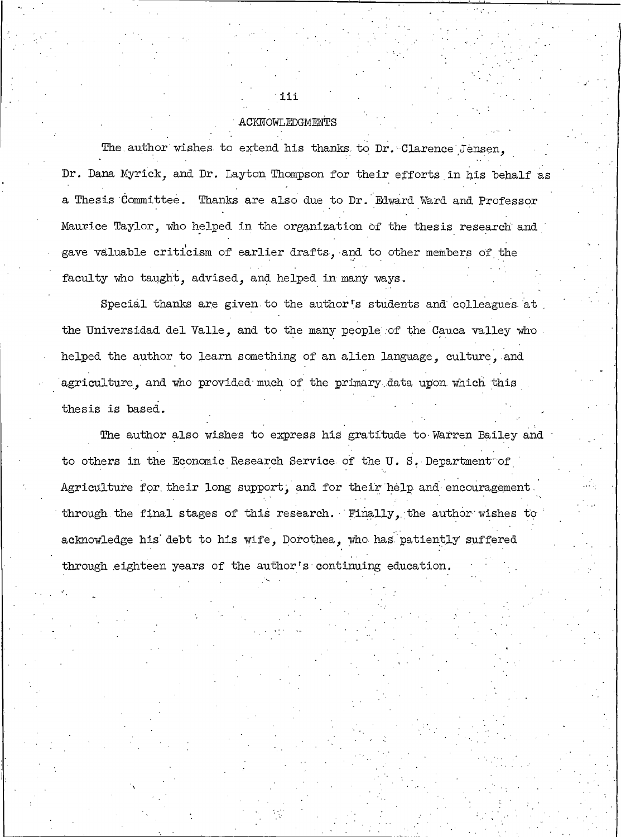#### **ACKNOWLEDGMENTS**

iii

The author wishes to extend his thanks to Dr. Clarence Jensen, Dr. Dana Myrick, and Dr. Layton Thompson for their efforts in his behalf as a Thesis Committee. Thanks are also due to Dr. Edward Ward and Professor Maurice Taylor, who helped in the organization of the thesis research and gave valuable criticism of earlier drafts, and to other members of the faculty who taught, advised, and helped in many ways.

Special thanks are given to the author's students and colleagues at the Universidad del Valle, and to the many people of the Cauca valley who helped the author to learn something of an alien language, culture, and agriculture, and who provided much of the primary data upon which this thesis is based.

The author also wishes to express his gratitude to Warren Bailey and to others in the Economic Research Service of the U.S. Department of Agriculture for their long support, and for their help and encouragement. through the final stages of this research. Finally, the author wishes to acknowledge his debt to his wife, Dorothea, who has patiently suffered through eighteen years of the author's continuing education.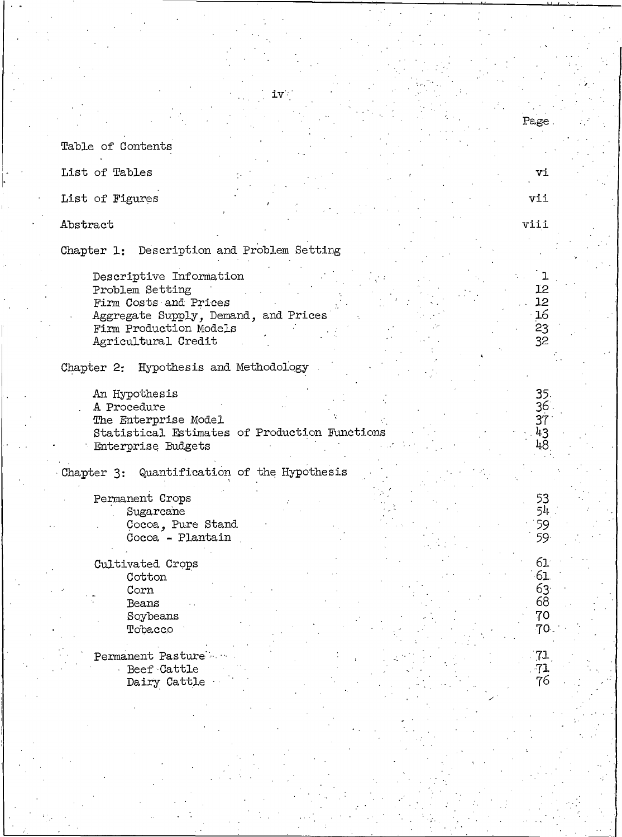Table of Contents

List of Tables

List of Figures

Abstract

Chapter 1: Description and Problem Setting

Descriptive Information Problem Setting Firm Costs and Prices Aggregate Supply, Demand, and Prices Firm Production Models Agricultural Credit

Chapter 2: Hypothesis and Methodology

An Hypothesis A Procedure The Enterprise Model Statistical Estimates of Production Functions Enterprise Budgets

 $\mathbf{iv}^{\vee}$ 

Page

vi

vii

viii

 $\mathbf 1$ 

 $12$  $12$ 

16

 $23$ 

 $32$ 

35  $36<sup>1</sup>$ 

37

 $43$ 48

53<br>54

59<br>59

61

61

 $63$ <br> $68$ 

70  $70.$ 

 $71$ 

 $71$ 76

Chapter 3: Quantification of the Hypothesis

Permanent Crops Sugarcane Cocoa, Pure Stand Cocoa - Plantain

Cultivated Crops Cotton Corn Beans Soybeans

Tobacco

Permanent Pasture Beef Cattle Dairy Cattle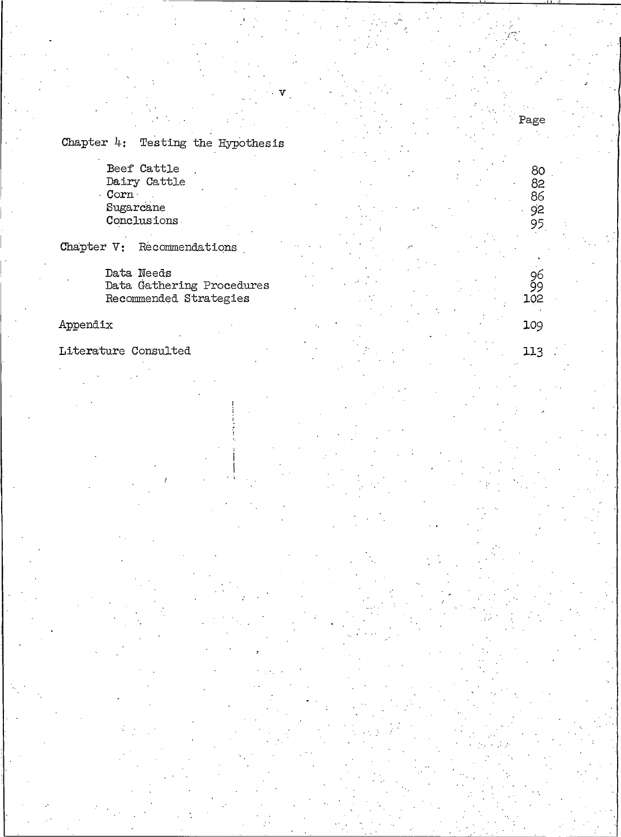Chapter  $4$ : Testing the Hypothesis

Page

 $\begin{array}{c} 80 \\ 82 \\ 86 \end{array}$ 

 $92$ 

 $\overline{95}$ 

96<br>99<br>102

109

113

Beef Cattle Dairy Cattle Corn Sugarcane Conclusions

Chapter V: Recommendations

Data Needs Data Gathering Procedures<br>Recommended Strategies

Appendix

Literature Consulted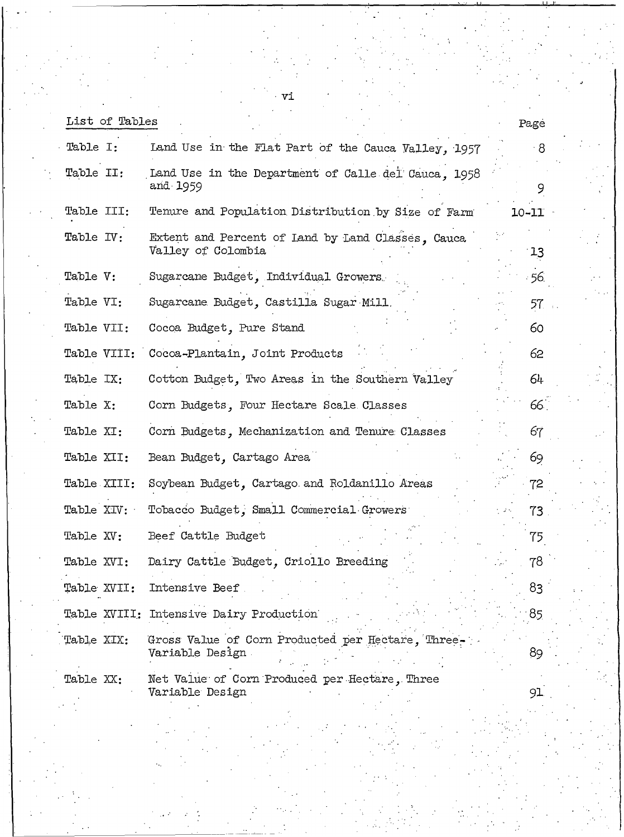| List of Tables |                                                                         | Page      |
|----------------|-------------------------------------------------------------------------|-----------|
| Table I:       | Land Use in the Flat Part of the Cauca Valley, 1957                     | . 8       |
| Table II:      | Land Use in the Department of Calle del Cauca, 1958<br>and 1959         |           |
| Table III:     | Tenure and Population Distribution by Size of Farm                      | $10 - 11$ |
| Table IV:      | Extent and Percent of Land by Land Classes, Cauca<br>Valley of Colombia | 13        |
| Table V:       | Sugarcane Budget, Individual Growers.                                   | - 56.     |
| Table VI:      | Sugarcane Budget, Castilla Sugar Mill.                                  | 57.       |
| Table VII:     | Cocoa Budget, Pure Stand                                                | 60        |
| Table VIII:    | Cocoa-Plantain, Joint Products                                          | 62        |
| Table IX:      | Cotton Budget, Two Areas in the Southern Valley                         | 64        |
| Table X:       | Corn Budgets, Four Hectare Scale Classes                                | 66.       |
| Table XI:      | Corn Budgets, Mechanization and Tenure Classes                          | 67        |
| Table XII:     | Bean Budget, Cartago Area                                               | 69        |
| Table XIII:    | Soybean Budget, Cartago and Roldanillo Areas                            | 72        |
| Table XIV:     | Tobacco Budget, Small Commercial Growers                                | 73        |
| Table XV:      | Beef Cattle Budget                                                      | 75        |
| Table XVI:     | Dairy Cattle Budget, Criollo Breeding                                   | 78        |
| Table XVII:    | Intensive Beef                                                          | 83        |
| Table XVIII:   | Intensive Dairy Production                                              | 85        |
| Table XIX:     | Gross Value of Corn Producted per Hectare, Three-<br>Variable Design    | 89        |
| Table XX:      | Net Value of Corn Produced per Hectare, Three<br>Variable Design        | 91        |

vi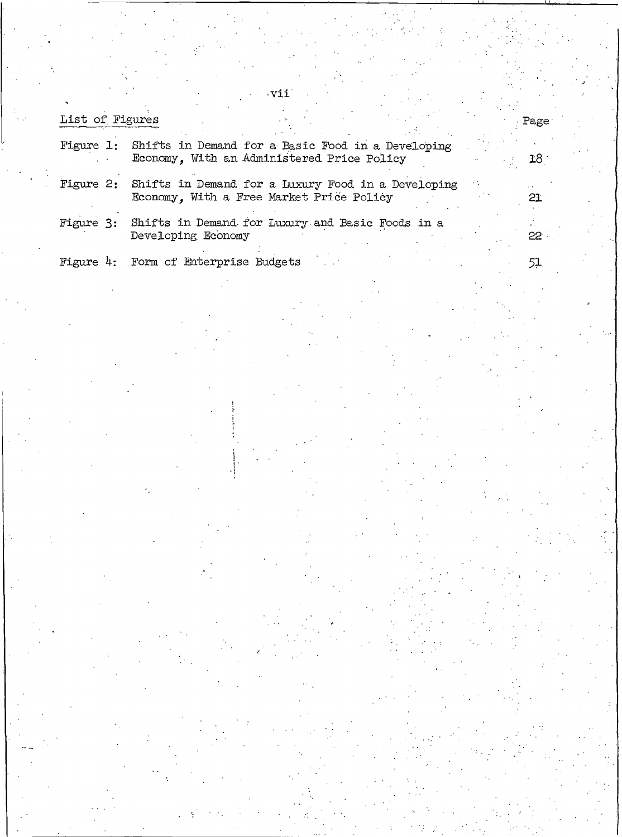## List of Figures

| Figure 1: Shifts in Demand for a Basic Food in a Developing |  |  |  |
|-------------------------------------------------------------|--|--|--|
| Economy, With an Administered Price Policy                  |  |  |  |

.vii

Page

18

21

 $\mathcal{L}$ 

22

 $51.$ 

Figure 2: Shifts in Demand for a Luxury Food in a Developing Economy, With a Free Market Price Policy

Shifts in Demand for Luxury and Basic Foods in a Figure 3: Developing Economy

Figure 4: Form of Enterprise Budgets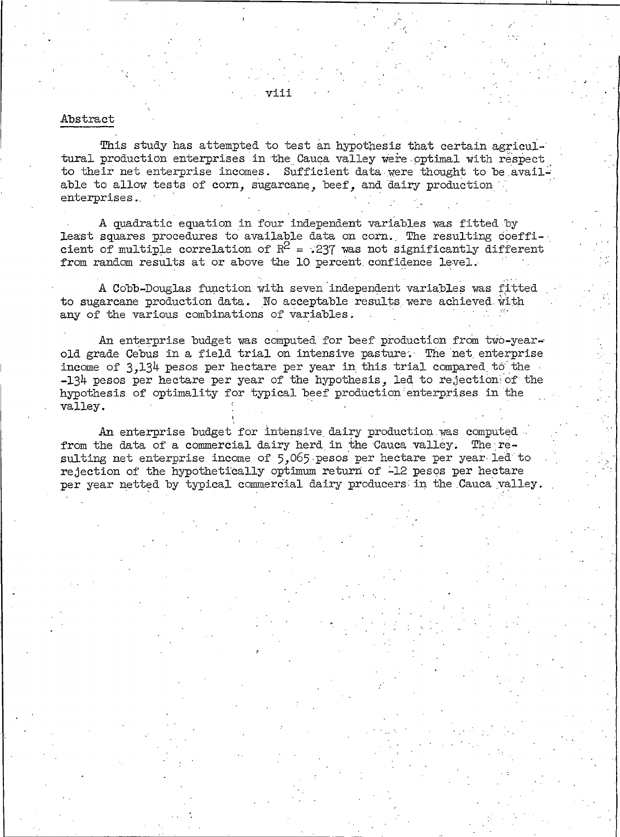#### Abstract

This study has attempted to test an hypothesis that certain agricultural production enterprises in the Cauca valley were optimal with respect to their net enterprise incomes. Sufficient data were thought to be available to allow tests of corn, sugarcane, beef, and dairy production enterprises.

A quadratic equation in four independent variables was fitted by least squares procedures to available data on corn. The resulting coefficient of multiple correlation of  $R^2 = .237$  was not significantly different from random results at or above the 10 percent confidence level.

A Cobb-Douglas function with seven independent variables was fitted to sugarcane production data. No acceptable results were achieved with any of the various combinations of variables.

An enterprise budget was computed for beef production from two-yearold grade Cebus in a field trial on intensive pasture. The net enterprise income of 3.134 pesos per hectare per year in this trial compared to the -134 pesos per hectare per year of the hypothesis, led to rejection of the hypothesis of optimality for typical beef production enterprises in the valley.

An enterprise budget for intensive dairy production was computed from the data of a commercial dairy herd in the Cauca valley. The resulting net enterprise income of 5,065 pesos per hectare per year led to rejection of the hypothetically optimum return of -12 pesos per hectare per year netted by typical commercial dairy producers in the Cauca valley.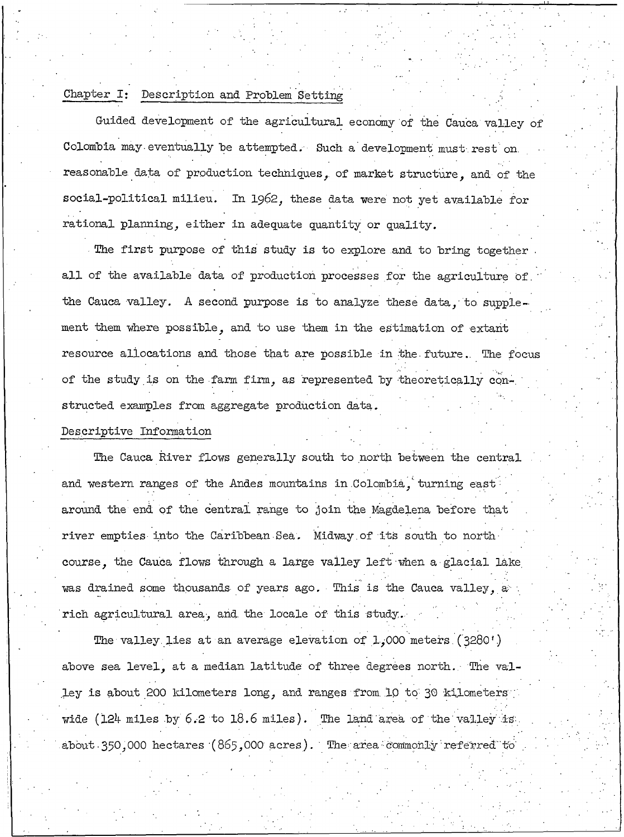## Chapter I: Description and Problem Setting

Guided development of the agricultural economy of the Cauca valley of Colombia may eventually be attempted. Such a development must rest on reasonable data of production techniques, of market structure, and of the social-political milieu. In 1962, these data were not yet available for rational planning, either in adequate quantity or quality.

The first purpose of this study is to explore and to bring together all of the available data of production processes for the agriculture of the Cauca valley. A second purpose is to analyze these data, to supplement them where possible, and to use them in the estimation of extant resource allocations and those that are possible in the future. The focus of the study is on the farm firm, as represented by theoretically constructed examples from aggregate production data.

## Descriptive Information

The Cauca River flows generally south to north between the central and western ranges of the Andes mountains in Colombia. turning east around the end of the central range to join the Magdelena before that river empties into the Caribbean Sea. Midway of its south to north course, the Cauca flows through a large valley left when a glacial lake was drained some thousands of years ago. This is the Cauca valley, a rich agricultural area, and the locale of this study.

The valley lies at an average elevation of 1,000 meters (3280') above sea level, at a median latitude of three degrees north. The valley is about 200 kilometers long, and ranges from 10 to 30 kilometers. wide (124 miles by 6.2 to 18.6 miles). The land area of the valley is about 350,000 hectares (865,000 acres). The area commonly referred to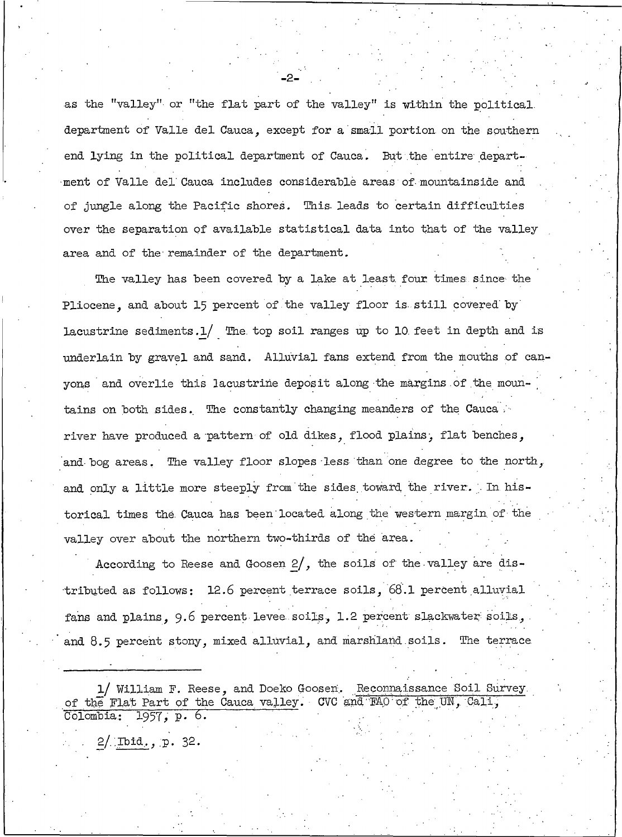as the "valley" or "the flat part of the valley" is within the political. department of Valle del Cauca, except for a small portion on the southern end lying in the political department of Cauca. But the entire department of Valle del Cauca includes considerable areas of mountainside and of jungle along the Pacific shores. This leads to certain difficulties over the separation of available statistical data into that of the valley area and of the remainder of the department.

The valley has been covered by a lake at least four times since the Pliocene, and about 15 percent of the valley floor is still covered by lacustrine sediments.1/ The top soil ranges up to 10 feet in depth and is underlain by gravel and sand. Alluvial fans extend from the mouths of canyons and overlie this lacustrine deposit along the margins of the mountains on both sides. The constantly changing meanders of the Cauca river have produced a pattern of old dikes, flood plains, flat benches, and bog areas. The valley floor slopes less than one degree to the north, and only a little more steeply from the sides toward the river. In historical times the Cauca has been located along the western margin of the valley over about the northern two-thirds of the area.

According to Reese and Goosen  $2/$ , the soils of the valley are distributed as follows: 12.6 percent terrace soils, 68.1 percent alluvial fans and plains, 9.6 percent levee soils. 1.2 percent slackwater soils. and 8.5 percent stony, mixed alluvial, and marshland soils. The terrace

1/ William F. Reese, and Doeko Goosen. Reconnaissance Soil Survey. of the Flat Part of the Cauca valley. CVC and FAO of the UN, Cali. Colombia: 1957, p. 6.

2/ Ibid., p. 32.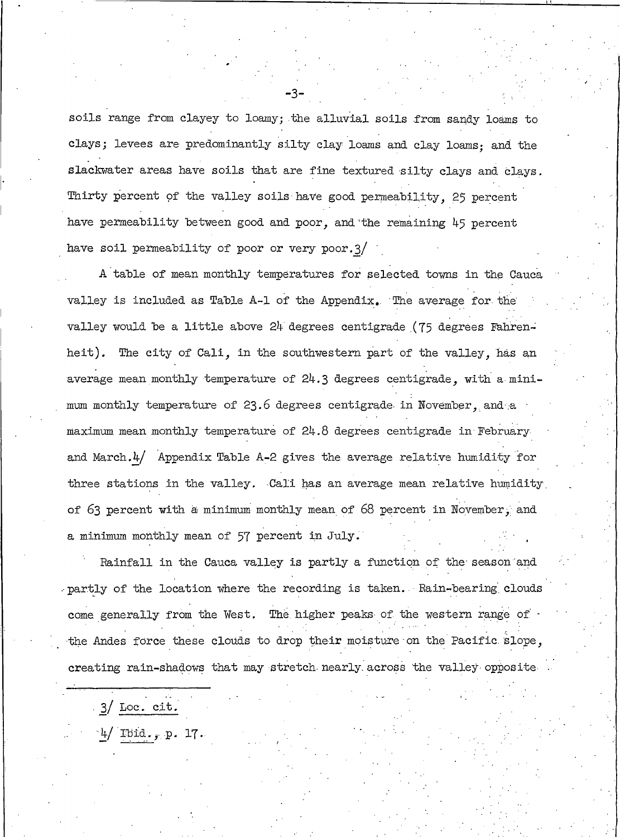soils range from clayey to loamy; the alluvial soils from sandy loams to clays; levees are predominantly silty clay loams and clay loams: and the slackwater areas have soils that are fine textured silty clays and clays. Thirty percent of the valley soils have good permeability, 25 percent have permeability between good and poor, and the remaining 45 percent have soil permeability of poor or very poor.3/

A table of mean monthly temperatures for selected towns in the Cauca valley is included as Table A-1 of the Appendix. The average for the valley would be a little above 24 degrees centigrade (75 degrees Fahrenheit). The city of Cali, in the southwestern part of the valley, has an average mean monthly temperature of 24.3 degrees centigrade, with a minimum monthly temperature of 23.6 degrees centigrade in November, and a maximum mean monthly temperature of 24.8 degrees centigrade in February and March.4/ Appendix Table A-2 gives the average relative humidity for three stations in the valley. Cali has an average mean relative humidity of 63 percent with a minimum monthly mean of 68 percent in November, and a minimum monthly mean of 57 percent in July.

Rainfall in the Cauca valley is partly a function of the season and partly of the location where the recording is taken. Rain-bearing clouds come generally from the West. The higher peaks of the western range of the Andes force these clouds to drop their moisture on the Pacific slope, creating rain-shadows that may stretch nearly across the valley opposite

 $-3/$  Loc. cit.  $4/$  Ibid., p. 17.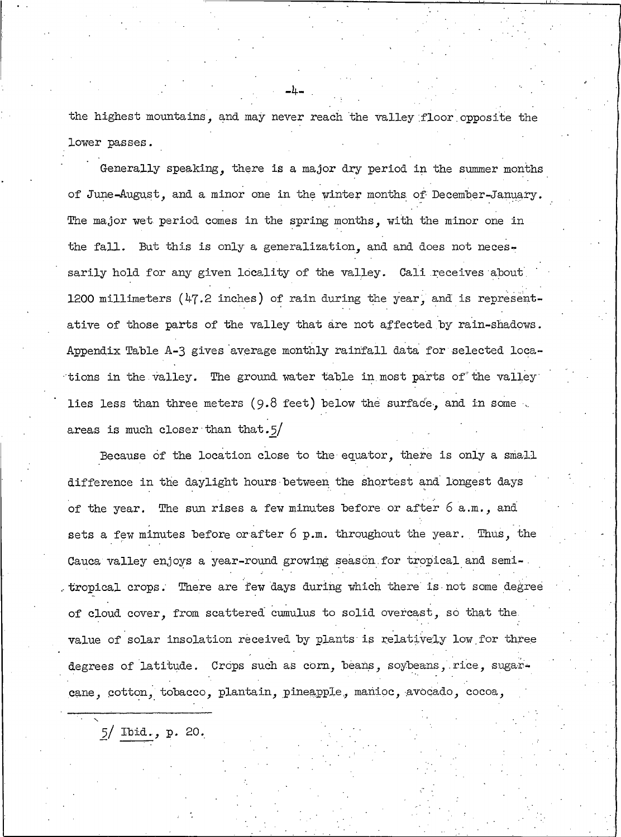the highest mountains, and may never reach the valley floor opposite the lower passes.

Generally speaking, there is a major dry period in the summer months of June-August, and a minor one in the winter months of December-January. The major wet period comes in the spring months, with the minor one in the fall. But this is only a generalization, and and does not necessarily hold for any given locality of the valley. Cali receives about 1200 millimeters  $(47.2 \text{ inches})$  of rain during the year, and is representative of those parts of the valley that are not affected by rain-shadows. Appendix Table A-3 gives average monthly rainfall data for selected locations in the valley. The ground water table in most parts of the valley lies less than three meters (9.8 feet) below the surface, and in some areas is much closer than that.5/

Because of the location close to the equator, there is only a small difference in the daylight hours between the shortest and longest days of the year. The sun rises a few minutes before or after 6 a.m., and sets a few minutes before or after 6 p.m. throughout the year. Thus, the Cauca valley enjoys a year-round growing season for tropical and semitropical crops. There are few days during which there is not some degree of cloud cover, from scattered cumulus to solid overcast, so that the value of solar insolation received by plants is relatively low for three degrees of latitude. Crops such as corn, beans, soybeans, rice, sugarcane, cotton, tobacco, plantain, pineapple, manioc, avocado, cocoa,

 $5/$  Ibid., p. 20.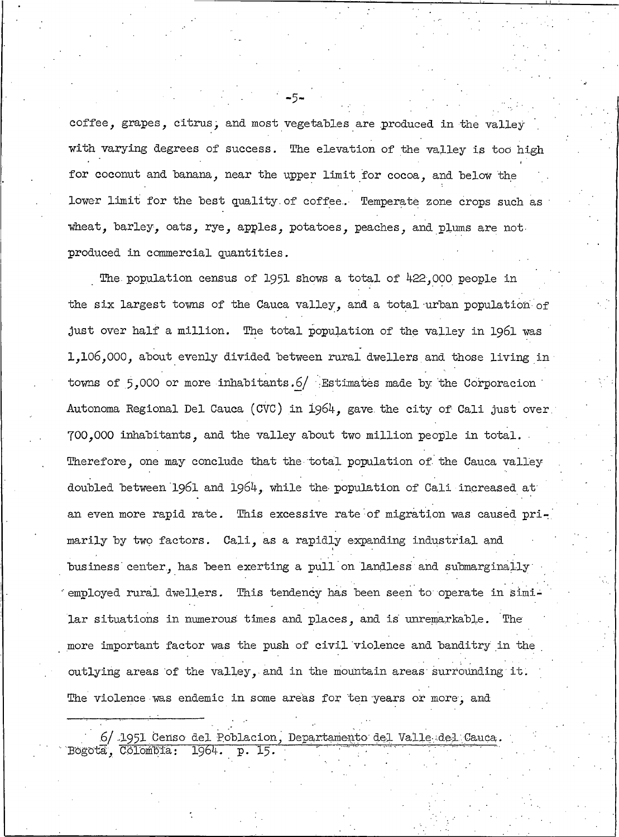coffee, grapes, citrus, and most vegetables are produced in the valley with varying degrees of success. The elevation of the valley is too high for coconut and banana, near the upper limit for cocoa, and below the lower limit for the best quality of coffee. Temperate zone crops such as wheat, barley, oats, rye, apples, potatoes, peaches, and plums are not produced in commercial quantities.

The population census of 1951 shows a total of 422,000 people in the six largest towns of the Cauca valley, and a total urban population of just over half a million. The total population of the valley in 1961 was 1,106,000, about evenly divided between rural dwellers and those living in towns of 5,000 or more inhabitants.6/ Estimates made by the Corporacion Autonoma Regional Del Cauca (CVC) in 1964, gave the city of Cali just over 700,000 inhabitants, and the valley about two million people in total. Therefore, one may conclude that the total population of the Cauca valley doubled between 1961 and 1964, while the population of Cali increased at an even more rapid rate. This excessive rate of migration was caused primarily by two factors. Cali, as a rapidly expanding industrial and business center, has been exerting a pull on landless and submarginally employed rural dwellers. This tendency has been seen to operate in similar situations in numerous times and places, and is unremarkable. The more important factor was the push of civil violence and banditry in the outlying areas of the valley, and in the mountain areas surrounding it. The violence was endemic in some areas for ten years or more, and

6/ 1951 Censo del Poblacion, Departamento del Valle del Cauca.<br>Bogota, Colombia: 1964. p. 15.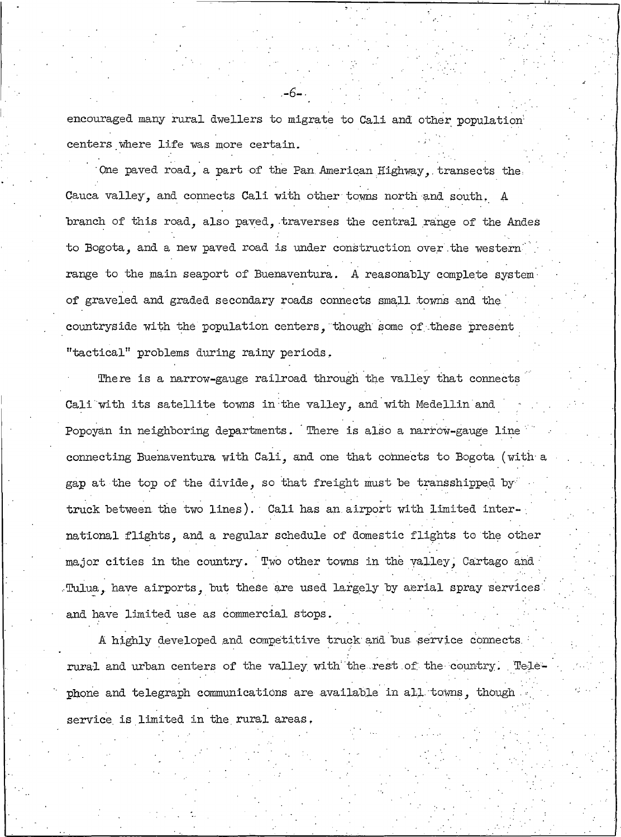encouraged many rural dwellers to migrate to Cali and other population centers where life was more certain.

One paved road, a part of the Pan American Highway, transects the Cauca valley, and connects Cali with other towns north and south. A branch of this road, also paved, traverses the central range of the Andes to Bogota, and a new paved road is under construction over the western range to the main seaport of Buenaventura. A reasonably complete system of graveled and graded secondary roads connects small towns and the countryside with the population centers, though some of these present "tactical" problems during rainy periods.

There is a narrow-gauge railroad through the valley that connects Cali with its satellite towns in the valley, and with Medellin and Popoyan in neighboring departments. There is also a narrow-gauge line connecting Buenaventura with Cali, and one that connects to Bogota (with a gap at the top of the divide, so that freight must be transshipped by truck between the two lines). Cali has an airport with limited international flights, and a regular schedule of domestic flights to the other major cities in the country. Two other towns in the valley, Cartago and Tulua, have airports, but these are used largely by aerial spray services and have limited use as commercial stops.

A highly developed and competitive truck and bus service connects. rural and urban centers of the valley with the rest of the country. Telephone and telegraph communications are available in all towns, though service is limited in the rural areas.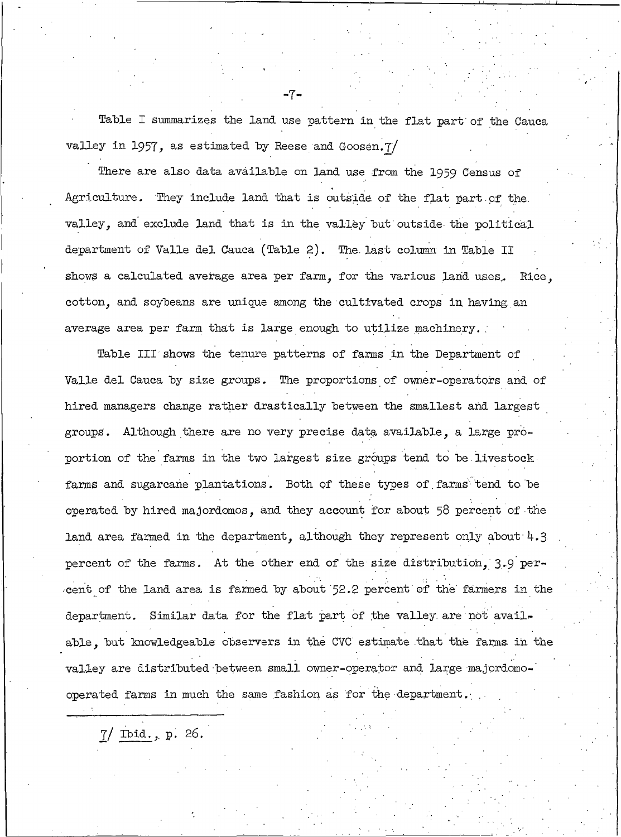Table I summarizes the land use pattern in the flat part of the Cauca valley in 1957, as estimated by Reese and Goosen.7/

-7-

There are also data available on land use from the 1959 Census of Agriculture. They include land that is outside of the flat part of the valley, and exclude land that is in the valley but outside the political department of Valle del Cauca (Table 2). The last column in Table II shows a calculated average area per farm. for the various land uses. Rice. cotton, and soybeans are unique among the cultivated crops in having an average area per farm that is large enough to utilize machinery.

Table III shows the tenure patterns of farms in the Department of Valle del Cauca by size groups. The proportions of owner-operators and of hired managers change rather drastically between the smallest and largest groups. Although there are no very precise data available, a large proportion of the farms in the two largest size groups tend to be livestock. farms and sugarcane plantations. Both of these types of farms tend to be operated by hired majordomos, and they account for about 58 percent of the land area farmed in the department, although they represent only about 4.3 percent of the farms. At the other end of the size distribution, 3.9 percent of the land area is farmed by about 52.2 percent of the farmers in the department. Similar data for the flat part of the valley are not available, but knowledgeable observers in the CVC estimate that the farms in the valley are distributed between small owner-operator and large majordomooperated farms in much the same fashion as for the department.

 $7/$  Tbid., p. 26.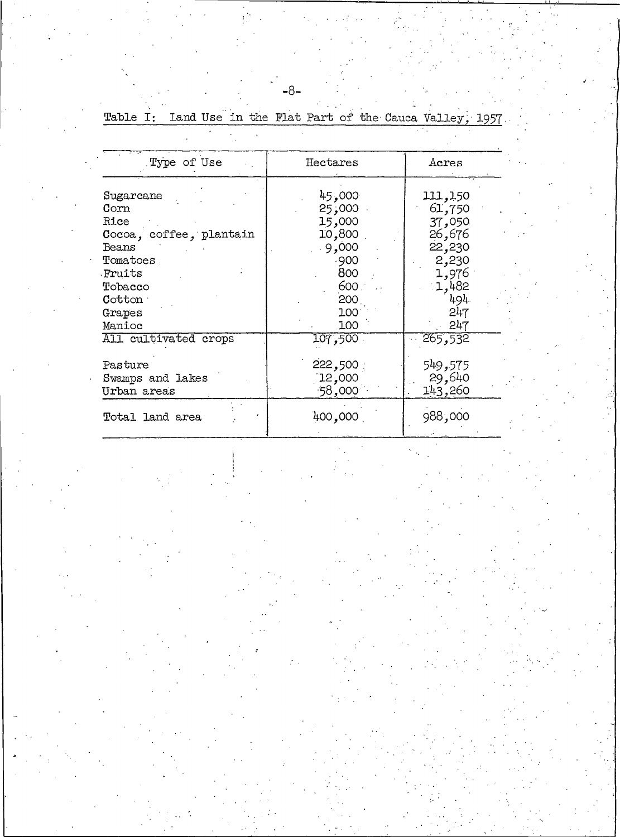|  |  |  |  |  | Table I:_ Land Use in the Flat Part of the Cauca Valley, 1957. |  |
|--|--|--|--|--|----------------------------------------------------------------|--|
|  |  |  |  |  |                                                                |  |

| Type of Use                                                                                                                                            | Hectares                                                                                    | Acres                                                                                             |
|--------------------------------------------------------------------------------------------------------------------------------------------------------|---------------------------------------------------------------------------------------------|---------------------------------------------------------------------------------------------------|
| Sugarcane<br>Corn<br>Rice<br>Cocoa, coffee, plantain<br>Beans<br>$\verb Iomatoes $<br>Fruits<br>Fobacco<br>Cotton :<br>3 <sub>response</sub><br>Manioc | 45,000<br>25,000<br>15,000<br>10,800<br>. 9,000<br>-900<br>800<br>600.<br>200<br>100<br>100 | 111,150<br>61,750<br>37,050<br>26,676<br>22,230<br>2,230<br>1,976<br>482, 1<br>494.<br>247<br>247 |
| All cultivated crops                                                                                                                                   | 107,500                                                                                     | 265,532                                                                                           |
| Pasture<br>Swamps and lakes<br>Jrban areas                                                                                                             | 222,500<br>12,000<br>$-58,000$                                                              | 549,575<br>29,640<br>143,260                                                                      |
| Total land area                                                                                                                                        | 400,000                                                                                     | 988,000                                                                                           |
|                                                                                                                                                        |                                                                                             |                                                                                                   |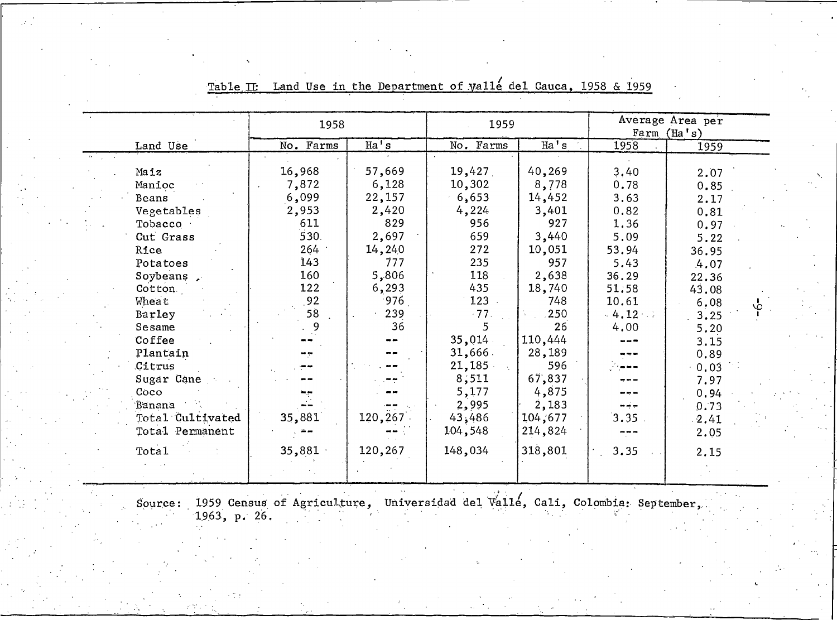|                  | 1958      |          | 1959      |         | Average Area per<br>Farm (Ha's) |         |  |
|------------------|-----------|----------|-----------|---------|---------------------------------|---------|--|
| Land Use         | No. Farms | Ha' s    | No. Farms | Ha' s   | 1958                            | 1959    |  |
|                  |           |          |           |         |                                 |         |  |
| Maiz             | 16,968    | 57,669   | 19,427    | 40,269  | 3.40                            | 2.07    |  |
| Manioc           | 7,872     | 6,128    | 10,302    | 8,778   | 0.78                            | 0.85    |  |
| Beans            | 6,099     | 22,157   | 6,653     | 14,452  | 3.63                            | 2.17    |  |
| Vegetables       | 2,953     | 2,420    | 4,224     | 3,401   | 0.82                            | 0.81    |  |
| Tobacco          | 611       | 829      | 956       | 927     | 1.36                            | 0.97    |  |
| Cut Grass        | 530.      | 2,697    | 659       | 3,440   | 5.09                            | 5.22    |  |
| Rice             | 264       | 14,240   | 272       | 10,051  | 53.94                           | 36.95   |  |
| Potatoes         | 143       | 777      | 235       | 957     | 5.43                            | 4.07    |  |
| Soybeans         | 160       | 5,806    | 118       | 2,638   | 36.29                           | 22.36   |  |
| Cotton.          | 122       | 6,293    | 435       | 18,740  | 51.58                           | 43.08   |  |
| Wheat            | 92        | 976      | $123$ .   | 748     | 10.61                           | 6.08    |  |
| Barley           | 58        | 239      | $-77.$    | 250     | $-4.12$                         | 3.25    |  |
| Sesame           |           | 36       | 5.        | 26      | 4,00                            | 5.20    |  |
| Coffee           |           |          | 35,014    | 110,444 |                                 | 3.15    |  |
| Plantain         |           |          | 31,666.   | 28,189  |                                 | 0.89    |  |
| Citrus           |           |          | 21,185    | 596     |                                 | 0.03    |  |
| Sugar Cane       |           |          | 8,511     | 67,837  |                                 | 7.97    |  |
| Coco             |           |          | 5,177     | 4,875   |                                 | 0.94    |  |
| Banana           |           |          | 2,995     | 2,183   |                                 | 0.73    |  |
| Total Cultivated | 35,881    | 120, 267 | 43,486    | 104,677 | $3.35$ .                        | $-2.41$ |  |
| Total Permanent  |           |          | 104,548   | 214,824 |                                 | 2.05    |  |
| Total            | 35,881    | 120,267  | 148,034   | 318,801 | 3.35                            | 2.15    |  |
|                  |           |          |           |         |                                 |         |  |

Table II: Land Use in the Department of yalle del Cauca, 1958 & 1959

Source: 1959 Census of Agriculture, Universidad del Valle, Cali, Colombia: September, 1963, p. 26.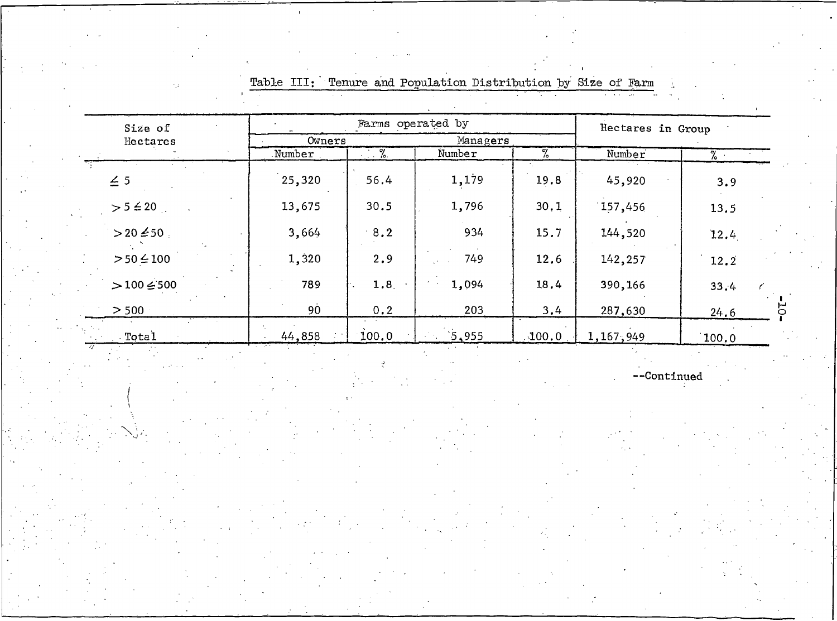| Size of                |        | Farms operated by | Hectares in Group |       |           |        |  |
|------------------------|--------|-------------------|-------------------|-------|-----------|--------|--|
| Hectares               | Owners |                   | Managers          |       |           |        |  |
|                        | Number | $\frac{9}{6}$     | Number            | %     | Number    | %      |  |
| $\leq$ 5               | 25,320 | 56.4              | 1,179             | 19.8  | 45,920    | 3.9    |  |
| $> 5 \leq 20$          | 13,675 | 30.5              | 1,796             | 30.1  | 157,456   | 13.5   |  |
| $> 20 \le 50$          | 3,664  | 8.2               | 934               | 15.7  | 144,520   | 12.4   |  |
| $> 50 \le 100$         | 1,320  | 2.9               | 749               | 12.6  | 142,257   | 12.2   |  |
| $>100 \le 500$         | 789    | 1.8               | 1,094             | 18.4  | 390,166   | 33.4   |  |
| $>$ 500 $\overline{ }$ | 90     | 0.2               | 203               | 3.4   | 287,630   | 24.6   |  |
| Total -                | 44,858 | 100.0             | 5.955             | 100.0 | 1,167,949 | ിററെ പ |  |

|  |  |  | Table III: Tenure and Population Distribution by Size of Farm |  |  |  |
|--|--|--|---------------------------------------------------------------|--|--|--|
|--|--|--|---------------------------------------------------------------|--|--|--|

--Continued

T.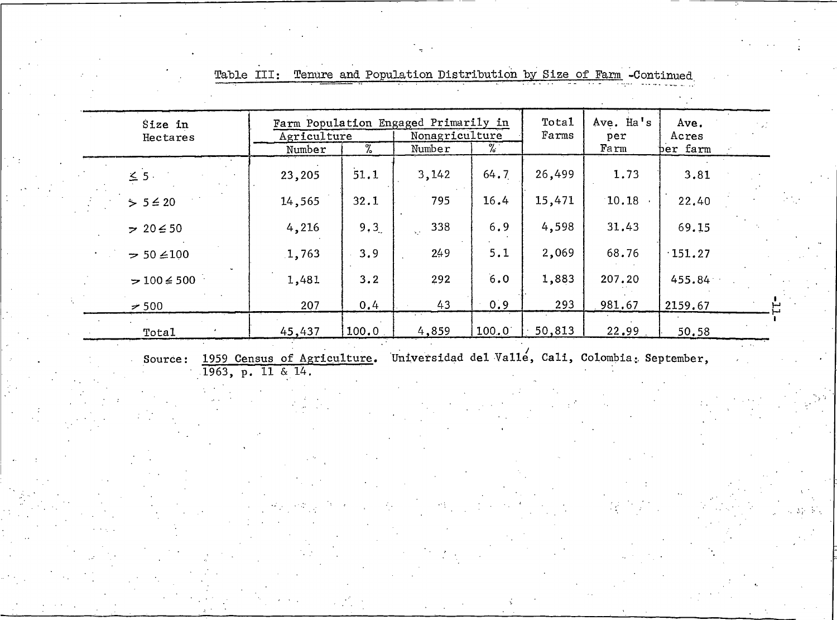| Size in<br>Hectares | Agriculture<br>Number | %     | Farm Population Engaged Primarily in<br>Nonagriculture<br>Number | $\%$  | Total<br>Farms | Ave. Ha's<br>per<br>Farm | Ave.<br>Acres<br>þer farm |  |
|---------------------|-----------------------|-------|------------------------------------------------------------------|-------|----------------|--------------------------|---------------------------|--|
| $\leq 5$ .          | 23,205                | 51.1  | 3,142                                                            | 64.7  | 26,499         | 1.73                     | 3.81                      |  |
| $5 \le 20$          | 14,565                | 32.1  | 795                                                              | 16.4  | 15,471         | 10.18                    | 22.40                     |  |
| $20 \le 50$         | 4,216                 | 9,3   | 338                                                              | 6.9   | 4,598          | 31.43                    | 69.15                     |  |
| $= 50 \le 100$      | 1,763                 | 3.9   | 249                                                              | 5.1   | 2,069          | 68.76                    | $-151.27$                 |  |
| $> 100 \le 500$     | 1,481                 | 3.2   | 292                                                              | 6.0   | 1,883          | 207.20                   | 455.84                    |  |
| $\geq 500$          | 207                   | 0.4   | 43                                                               | 0.9   | 293            | 981,67                   | 2159.67                   |  |
| Total               | 45,437                | 100.0 | 4,859                                                            | 100.0 | 50,813         | 22.99                    | 50.58                     |  |

Tenure and Population Distribution by Size of Farm -Continued Table III:

1959 Census of Agriculture. Universidad del Valle, Cali, Colombia: September, 1963, p. Il & 14. Source: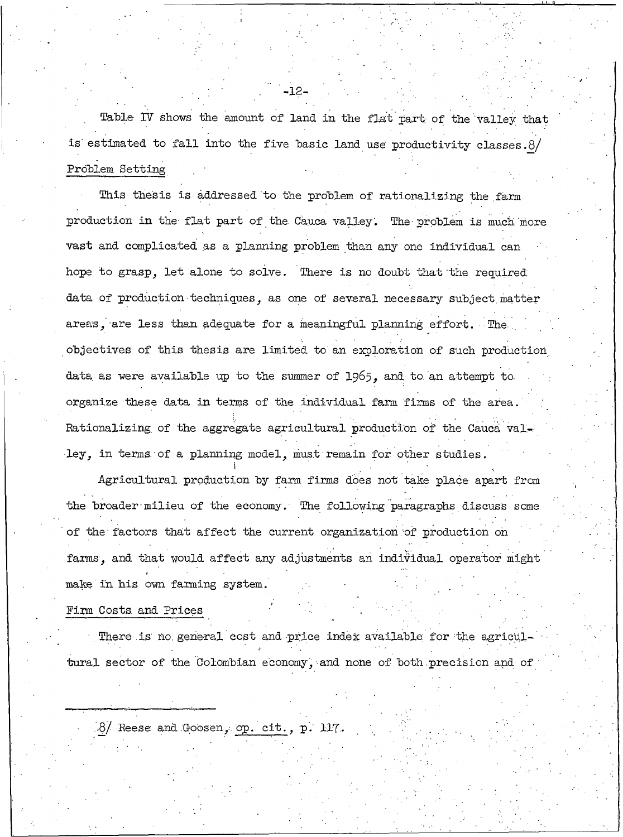Table IV shows the amount of land in the flat part of the valley that is estimated to fall into the five basic land use productivity classes.8/ Problem Setting

This thesis is addressed to the problem of rationalizing the farm production in the flat part of the Cauca valley. The problem is much more vast and complicated as a planning problem than any one individual can hope to grasp, let alone to solve. There is no doubt that the required data of production techniques, as one of several necessary subject matter areas, are less than adequate for a meaningful planning effort. The objectives of this thesis are limited to an exploration of such production data as were available up to the summer of 1965, and to an attempt to organize these data in terms of the individual farm firms of the area. Rationalizing of the aggregate agricultural production of the Cauca valley, in terms of a planning model, must remain for other studies.

Agricultural production by farm firms does not take place apart from the broader milieu of the economy. The following paragraphs discuss some of the factors that affect the current organization of production on farms, and that would affect any adjustments an individual operator might make in his own farming system.

### Firm Costs and Prices

There is no general cost and price index available for the agricultural sector of the Colombian economy, and none of both precision and of

 $8/$  Reese and Goosen, op. cit., p. 117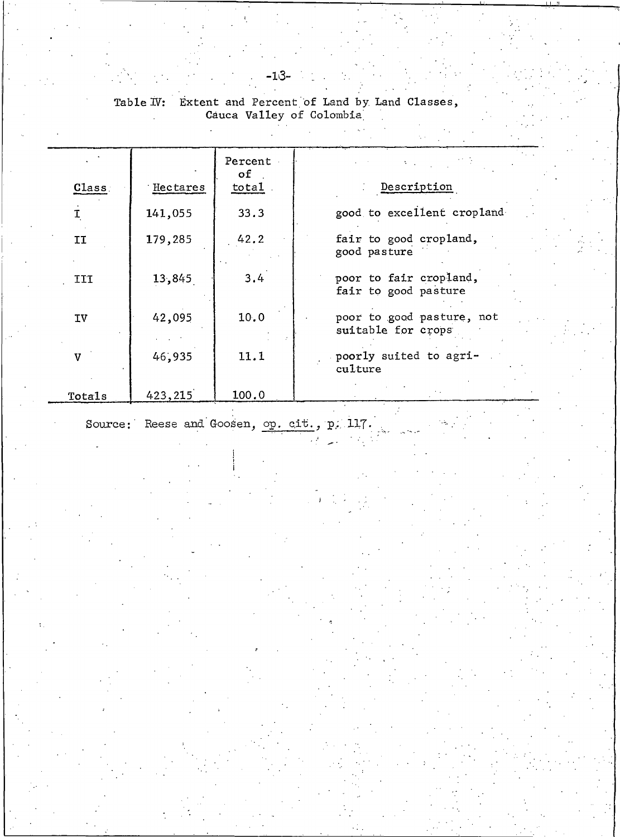$-13-$ 

|              |          | Percent<br>of |                                                 |
|--------------|----------|---------------|-------------------------------------------------|
| Class        | Hectares | total.        | Description                                     |
|              | 141,055  | 33.3          | good to excellent cropland                      |
| IJ           | 179,285  | 42.2          | fair to good cropland,<br>good pasture          |
| III          | 13,845   | 3.4           | poor to fair cropland,<br>fair to good pasture  |
| IV           | 42,095   | 10.0          | poor to good pasture, not<br>suitable for crops |
| $\mathbf{V}$ | 46,935   | 11.1          | poorly suited to agri-<br>culture               |
| Totals       | 423,215  | 100.0         |                                                 |

# Table IV: Extent and Percent of Land by Land Classes,<br>Cauca Valley of Colombia

Source: Reese and Goosen, op. cit., p. 117.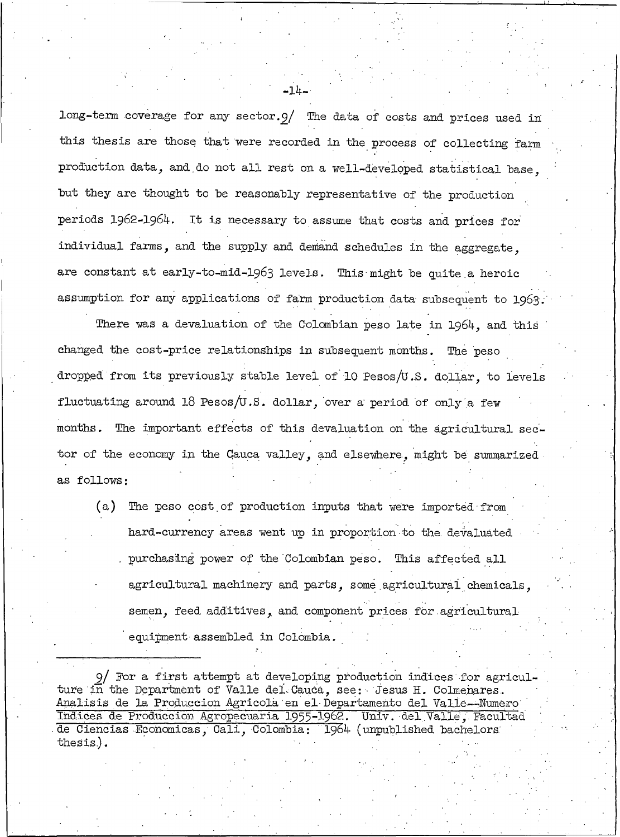long-term coverage for any sector.9/ The data of costs and prices used in this thesis are those that were recorded in the process of collecting farm production data, and do not all rest on a well-developed statistical base. but they are thought to be reasonably representative of the production periods 1962-1964. It is necessary to assume that costs and prices for individual farms, and the supply and demand schedules in the aggregate, are constant at early-to-mid-1963 levels. This might be quite a heroic assumption for any applications of farm production data subsequent to 1963.

-14-

There was a devaluation of the Colombian peso late in 1964, and this changed the cost-price relationships in subsequent months. The peso dropped from its previously stable level of 10 Pesos/U.S. dollar, to levels fluctuating around 18 Pesos/U.S. dollar, over a period of only a few months. The important effects of this devaluation on the agricultural sector of the economy in the Cauca valley, and elsewhere, might be summarized as follows:

The peso cost of production inputs that were imported from (a) hard-currency areas went up in proportion to the devaluated purchasing power of the Colombian peso. This affected all agricultural machinery and parts, some agricultural chemicals. semen, feed additives, and component prices for agricultural equipment assembled in Colombia.

9/ For a first attempt at developing production indices for agriculture in the Department of Valle del Cauca, see: Jesus H. Colmenares. Analisis de la Produccion Agricola en el Departamento del Valle -Numero Indices de Produccion Agropecuaria 1955-1962. Univ. del Valle, Facultad de Ciencias Economicas, Cali, Colombia: 1964 (unpublished bachelors thesis).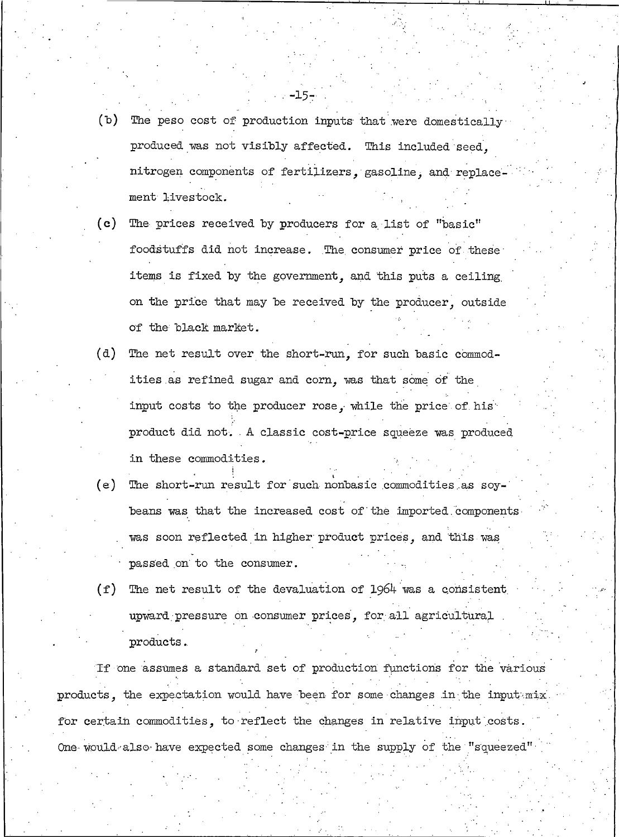$(b)$ The peso cost of production inputs that were domestically produced was not visibly affected. This included seed. nitrogen components of fertilizers, gasoline, and replacement livestock.

 $-15-$ 

- (c) | The prices received by producers for a list of "basic" foodstuffs did not increase. The consumer price of these items is fixed by the government, and this puts a ceiling on the price that may be received by the producer, outside of the black market.
- $(d)$ The net result over the short-run. for such basic commodities as refined sugar and corn, was that some of the input costs to the producer rose, while the price of his product did not. A classic cost-price squeeze was produced in these commodities.
- The short-run result for such nonbasic commodities as soy-(e) beans was that the increased cost of the imported components was soon reflected in higher product prices, and this was passed on to the consumer.
- The net result of the devaluation of 1964 was a consistent  $(f)$ upward pressure on consumer prices, for all agricultural products.

If one assumes a standard set of production functions for the various products, the expectation would have been for some changes in the input mix. for certain commodities, to reflect the changes in relative input costs. One would also have expected some changes in the supply of the "squeezed"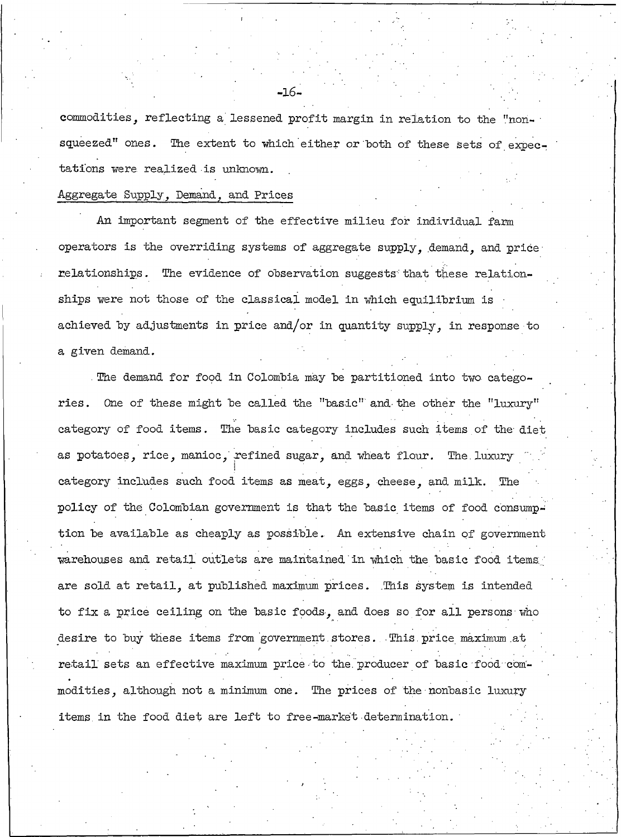commodities. reflecting a lessened profit margin in relation to the "nonsqueezed" ones. The extent to which either or both of these sets of expectations were realized is unknown.

#### Aggregate Supply, Demand, and Prices

An important segment of the effective milieu for individual farm operators is the overriding systems of aggregate supply, demand, and price relationships. The evidence of observation suggests that these relationships were not those of the classical model in which equilibrium is achieved by adjustments in price and/or in quantity supply, in response to a given demand.

The demand for food in Colombia may be partitioned into two categories. One of these might be called the "basic" and the other the "luxury" category of food items. The basic category includes such items of the diet as potatoes, rice, manioc, refined sugar, and wheat flour. The luxury category includes such food items as meat, eggs, cheese, and milk. The policy of the Colombian government is that the basic items of food consumption be available as cheaply as possible. An extensive chain of government warehouses and retail outlets are maintained in which the basic food items are sold at retail, at published maximum prices. This system is intended to fix a price ceiling on the basic foods, and does so for all persons who desire to buy these items from government stores. This price maximum at retail sets an effective maximum price to the producer of basic food commodities, although not a minimum one. The prices of the nonbasic luxury items in the food diet are left to free-market determination.

 $-16-$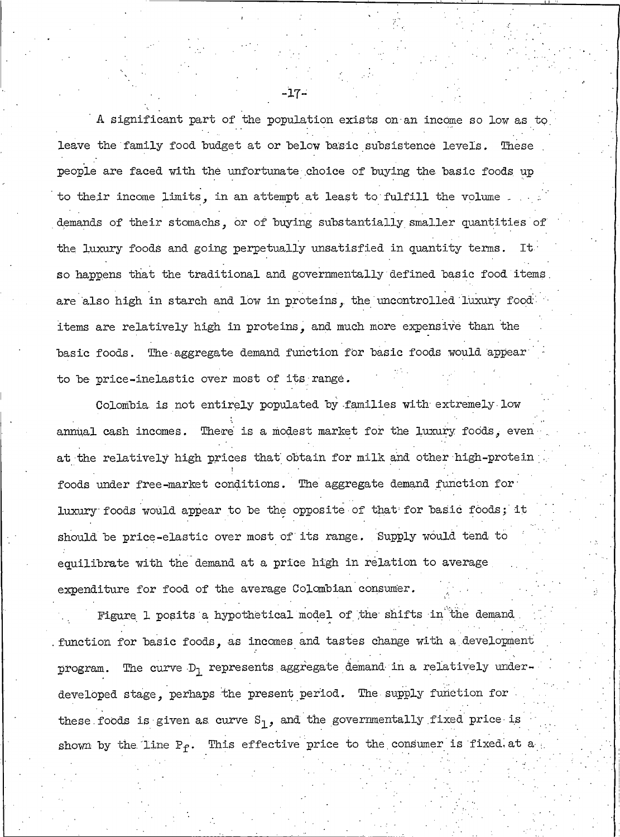A significant part of the population exists on an income so low as to leave the family food budget at or below basic subsistence levels. These people are faced with the unfortunate choice of buying the basic foods up to their income limits, in an attempt at least to fulfill the volume. demands of their stomachs, or of buying substantially smaller quantities of the luxury foods and going perpetually unsatisfied in quantity terms. It. so happens that the traditional and governmentally defined basic food items are also high in starch and low in proteins, the uncontrolled luxury food items are relatively high in proteins, and much more expensive than the basic foods. The aggregate demand function for basic foods would appear to be price-inelastic over most of its range.

Colombia is not entirely populated by families with extremely low annual cash incomes. There is a modest market for the luxury foods, even at the relatively high prices that obtain for milk and other high-protein foods under free-market conditions. The aggregate demand function for luxury foods would appear to be the opposite of that for basic foods; it should be price-elastic over most of its range. Supply would tend to equilibrate with the demand at a price high in relation to average expenditure for food of the average Colombian consumer.

Figure 1 posits a hypothetical model of the shifts in the demand function for basic foods, as incomes and tastes change with a development The curve  $D_1$  represents aggregate demand in a relatively underprogram. developed stage, perhaps the present period. The supply function for these foods is given as curve  $S_1$ , and the governmentally fixed price is shown by the line  $P_f$ . This effective price to the consumer is fixed at a

 $-17-$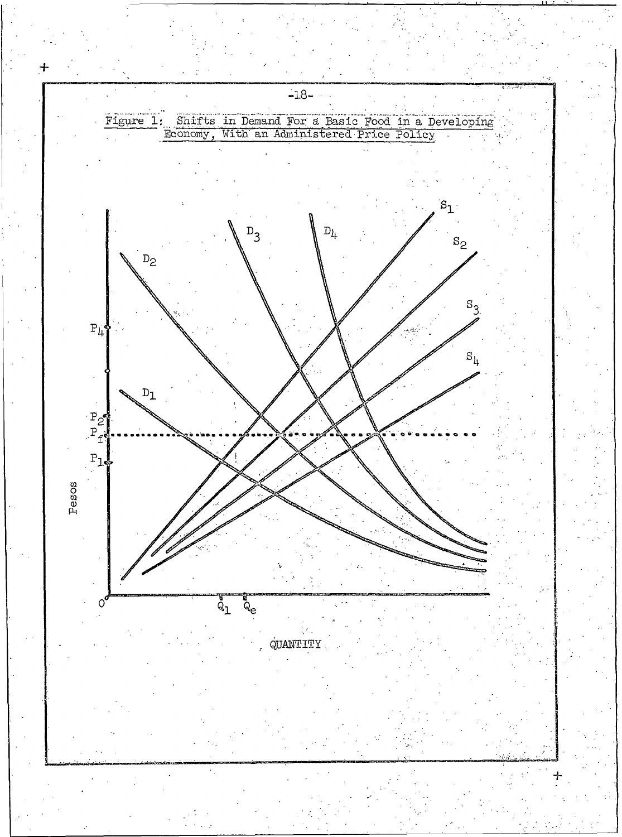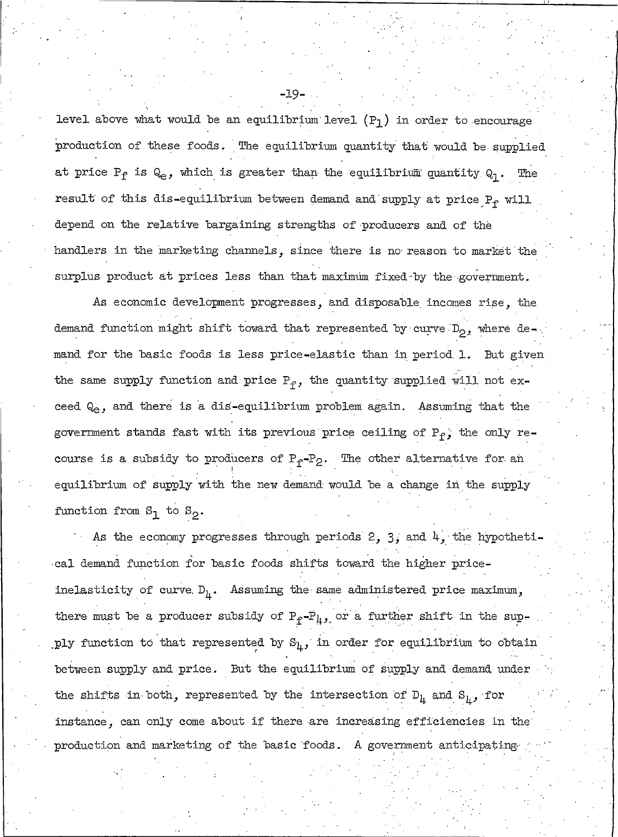level above what would be an equilibrium level  $(P_1)$  in order to encourage production of these foods. The equilibrium quantity that would be supplied at price  $P_f$  is  $Q_e$ , which is greater than the equilibrium quantity  $Q_1$ . The result of this dis-equilibrium between demand and supply at price P<sub>f</sub> will depend on the relative bargaining strengths of producers and of the handlers in the marketing channels, since there is no reason to market the surplus product at prices less than that maximum fixed by the government.

As economic development progresses, and disposable incomes rise, the demand function might shift toward that represented by curve  $D_2$ , where demand for the basic foods is less price-elastic than in period 1. But given the same supply function and price  $P_f$ , the quantity supplied will not exceed  $Q_{\ominus}$ , and there is a dis-equilibrium problem again. Assuming that the government stands fast with its previous price ceiling of  $P_f$ , the only recourse is a subsidy to producers of  $P_f-P_2$ . The other alternative for an equilibrium of supply with the new demand would be a change in the supply function from  $S_1$  to  $S_2$ .

As the economy progresses through periods 2, 3, and  $4$ , the hypothetical demand function for basic foods shifts toward the higher priceinelasticity of curve  $D_h$ . Assuming the same administered price maximum, there must be a producer subsidy of  $P_f-P_{\mu}$ , or a further shift in the supply function to that represented by  $S_{\mu}$ , in order for equilibrium to obtain between supply and price. But the equilibrium of supply and demand under the shifts in both, represented by the intersection of  $D_h$  and  $S_h$ , for instance, can only come about if there are increasing efficiencies in the production and marketing of the basic foods. A government anticipating

-19-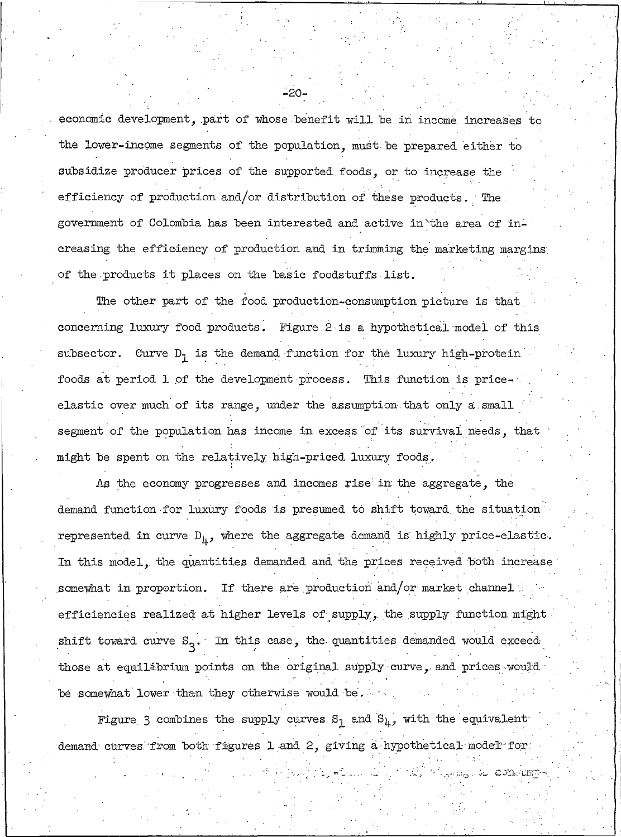economic development, part of whose benefit will be in income increases to the lower-income segments of the population, must be prepared either to subsidize producer prices of the supported foods, or to increase the efficiency of production and/or distribution of these products. The government of Colombia has been interested and active in the area of increasing the efficiency of production and in trimming the marketing margins of the products it places on the basic foodstuffs list.

 $-20$ 

The other part of the food production-consumption picture is that concerning luxury food products. Figure 2 is a hypothetical model of this subsector. Curve  $D_1$  is the demand function for the luxury high-protein foods at period 1 of the development process. This function is priceelastic over much of its range, under the assumption that only a small segment of the population has income in excess of its survival needs, that might be spent on the relatively high-priced luxury foods.

As the economy progresses and incomes rise in the aggregate, the demand function for luxury foods is presumed to shift toward the situation represented in curve  $D_h$ , where the aggregate demand is highly price-elastic. In this model, the quantities demanded and the prices received both increase somewhat in proportion. If there are production and/or market channel efficiencies realized at higher levels of supply, the supply function might shift toward curve  $S_3$ . In this case, the quantities demanded would exceed those at equilibrium points on the original supply curve, and prices would be somewhat lower than they otherwise would be.

Figure 3 combines the supply curves  $S_1$  and  $S_{\mu}$ , with the equivalent demand curves from both figures 1 and 2, giving a hypothetical model for

ಸಿಟ್ಟಿ ಸಿಕ್ಕಿ CO‰ಿದಿದ್ದ್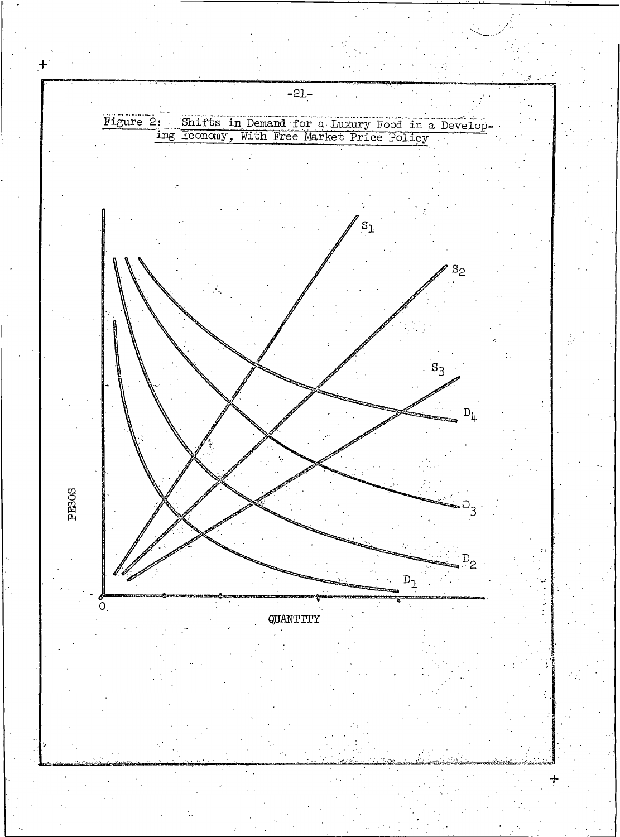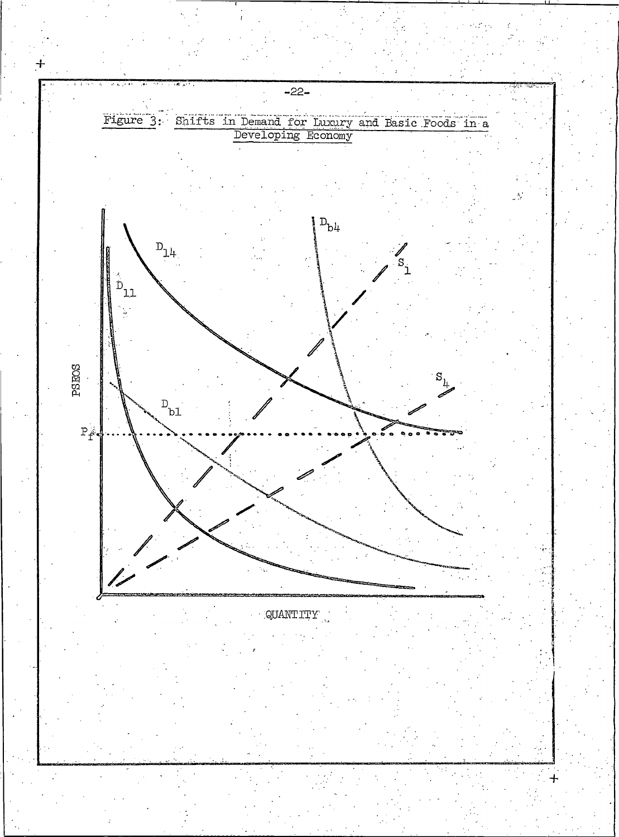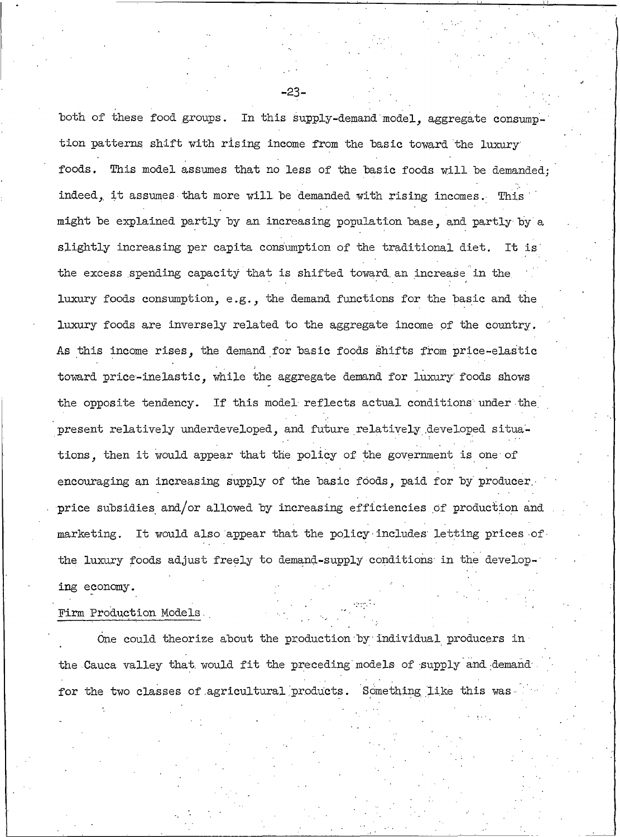both of these food groups. In this supply-demand model, aggregate consumption patterns shift with rising income from the basic toward the luxury foods. This model assumes that no less of the basic foods will be demanded; indeed, it assumes that more will be demanded with rising incomes. This might be explained partly by an increasing population base, and partly by a slightly increasing per capita consumption of the traditional diet. It is the excess spending capacity that is shifted toward an increase in the luxury foods consumption, e.g., the demand functions for the basic and the luxury foods are inversely related to the aggregate income of the country. As this income rises, the demand for basic foods shifts from price-elastic toward price-inelastic, while the aggregate demand for luxury foods shows the opposite tendency. If this model reflects actual conditions under the present relatively underdeveloped, and future relatively developed situations, then it would appear that the policy of the government is one of encouraging an increasing supply of the basic foods, paid for by producer. price subsidies and/or allowed by increasing efficiencies of production and marketing. It would also appear that the policy includes letting prices of the luxury foods adjust freely to demand-supply conditions in the developing economy.

#### Firm Production Models.

One could theorize about the production by individual producers in the Cauca valley that would fit the preceding models of supply and demand for the two classes of agricultural products. Something like this was

-23-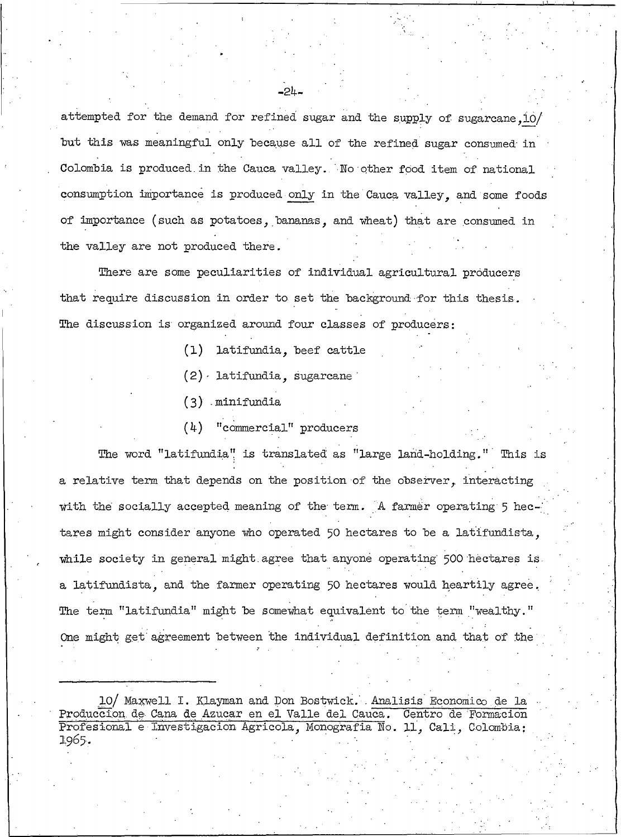attempted for the demand for refined sugar and the supply of sugarcane.10/ but this was meaningful only because all of the refined sugar consumed in Colombia is produced in the Cauca valley. No other food item of national consumption importance is produced only in the Cauca valley, and some foods of importance (such as potatoes, bananas, and wheat) that are consumed in the valley are not produced there.

There are some peculiarities of individual agricultural producers that require discussion in order to set the background for this thesis. The discussion is organized around four classes of producers:

- (1) latifundia, beef cattle
- $(2)$  latifundia, sugarcane
- $(3)$  minifundia
- $(4)$  "commercial" producers

The word "latifundia" is translated as "large land-holding." This is a relative term that depends on the position of the observer, interacting with the socially accepted meaning of the term. A farmer operating 5 hectares might consider anyone who operated 50 hectares to be a latifundista. while society in general might agree that anyone operating 500 hectares is a latifundista, and the farmer operating 50 hectares would heartily agree. The term "latifundia" might be somewhat equivalent to the term "wealthy." One might get agreement between the individual definition and that of the

10/ Maxwell I. Klayman and Don Bostwick. Analisis Economico de la Produccion de Cana de Azucar en el Valle del Cauca. Centro de Formacion Profesional e Investigacion Agricola, Monografia No. 11, Cali, Colombia: 1965.

-24-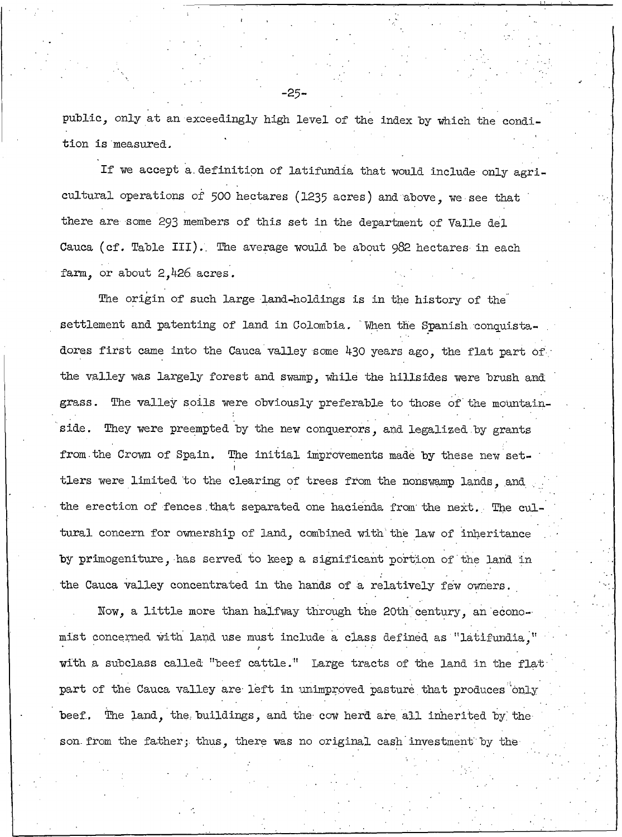public, only at an exceedingly high level of the index by which the condition is measured.

If we accept a definition of latifundia that would include only agricultural operations of 500 hectares (1235 acres) and above, we see that there are some 293 members of this set in the department of Valle del Cauca (cf. Table III). The average would be about 982 hectares in each farm, or about 2,426 acres.

The origin of such large land-holdings is in the history of the settlement and patenting of land in Colombia. When the Spanish conquistadores first came into the Cauca valley some 430 years ago, the flat part of the valley was largely forest and swamp, while the hillsides were brush and grass. The valley soils were obviously preferable to those of the mountainside. They were preempted by the new conquerors, and legalized by grants from the Crown of Spain. The initial improvements made by these new settlers were limited to the clearing of trees from the nonswamp lands, and the erection of fences that separated one hacienda from the next. The cultural concern for ownership of land, combined with the law of inheritance by primogeniture, has served to keep a significant portion of the land in the Cauca valley concentrated in the hands of a relatively few owners.

Now, a little more than halfway through the 20th century, an economist concerned with land use must include a class defined as "latifundia." with a subclass called "beef cattle." Large tracts of the land in the flat part of the Cauca valley are left in unimproved pasture that produces only beef. The land, the buildings, and the cow herd are all inherited by the son from the father; thus, there was no original cash investment by the

-25-